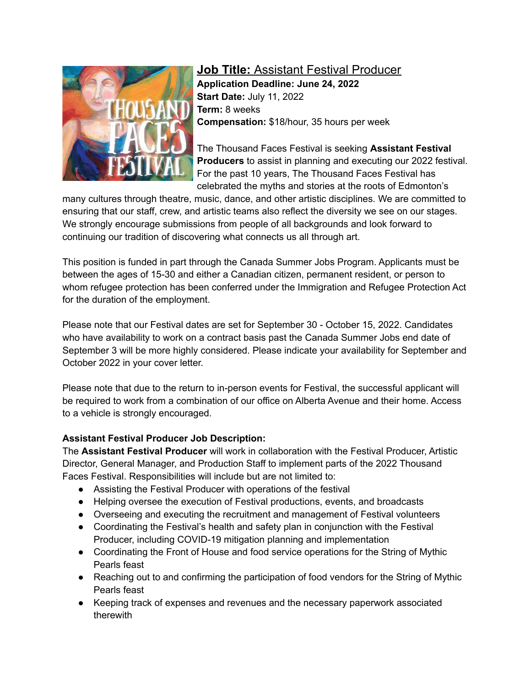

**Job Title:** Assistant Festival Producer **Application Deadline: June 24, 2022 Start Date:** July 11, 2022 **Term:** 8 weeks **Compensation:** \$18/hour, 35 hours per week

The Thousand Faces Festival is seeking **Assistant Festival Producers** to assist in planning and executing our 2022 festival. For the past 10 years, The Thousand Faces Festival has celebrated the myths and stories at the roots of Edmonton's

many cultures through theatre, music, dance, and other artistic disciplines. We are committed to ensuring that our staff, crew, and artistic teams also reflect the diversity we see on our stages. We strongly encourage submissions from people of all backgrounds and look forward to continuing our tradition of discovering what connects us all through art.

This position is funded in part through the Canada Summer Jobs Program. Applicants must be between the ages of 15-30 and either a Canadian citizen, permanent resident, or person to whom refugee protection has been conferred under the Immigration and Refugee Protection Act for the duration of the employment.

Please note that our Festival dates are set for September 30 - October 15, 2022. Candidates who have availability to work on a contract basis past the Canada Summer Jobs end date of September 3 will be more highly considered. Please indicate your availability for September and October 2022 in your cover letter.

Please note that due to the return to in-person events for Festival, the successful applicant will be required to work from a combination of our office on Alberta Avenue and their home. Access to a vehicle is strongly encouraged.

## **Assistant Festival Producer Job Description:**

The **Assistant Festival Producer** will work in collaboration with the Festival Producer, Artistic Director, General Manager, and Production Staff to implement parts of the 2022 Thousand Faces Festival. Responsibilities will include but are not limited to:

- Assisting the Festival Producer with operations of the festival
- Helping oversee the execution of Festival productions, events, and broadcasts
- Overseeing and executing the recruitment and management of Festival volunteers
- Coordinating the Festival's health and safety plan in conjunction with the Festival Producer, including COVID-19 mitigation planning and implementation
- Coordinating the Front of House and food service operations for the String of Mythic Pearls feast
- Reaching out to and confirming the participation of food vendors for the String of Mythic Pearls feast
- Keeping track of expenses and revenues and the necessary paperwork associated therewith